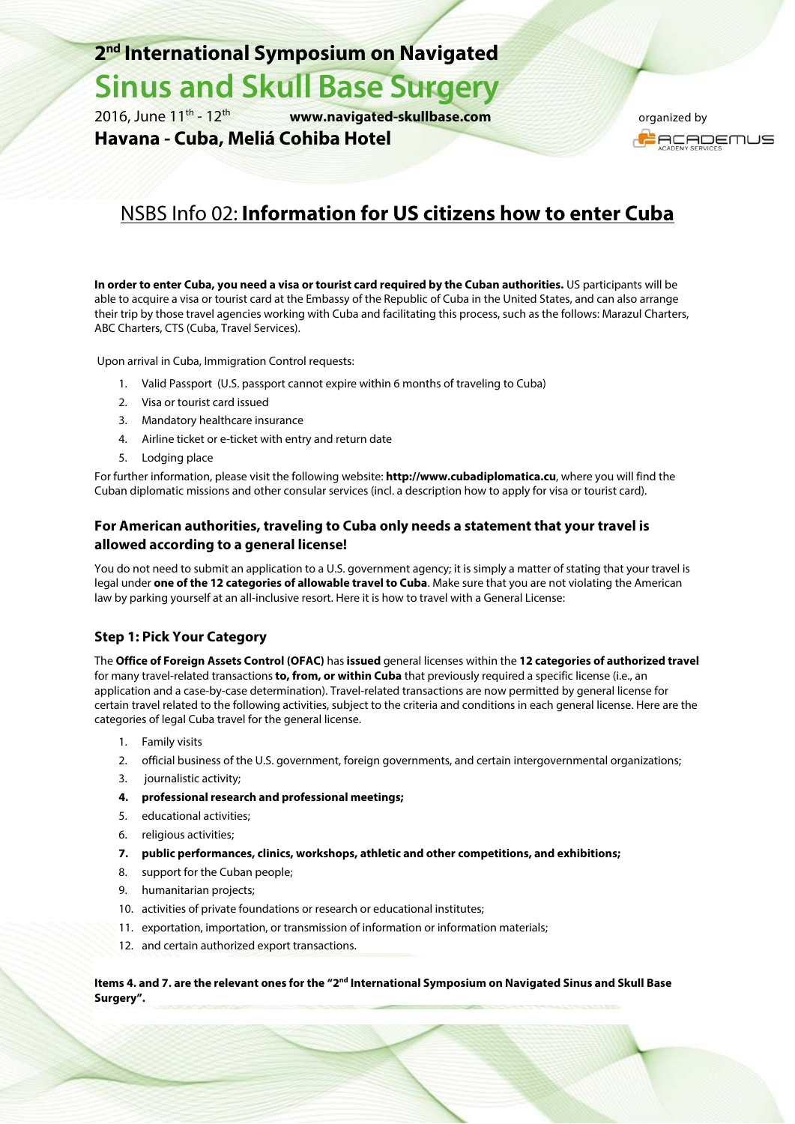## **2nd International Symposium on Navigated**

## **Sinus and Skull Base Surgery**

2016, June 11th - 12th **www.navigated-skullbase.com**

**Havana - Cuba, Meliá Cohiba Hotel** 

 organized by **ACADEMUS** 

## NSBS Info 02: **Information for US citizens how to enter Cuba**

**In order to enter Cuba, you need a visa or tourist card required by the Cuban authorities.** US participants will be able to acquire a visa or tourist card at the Embassy of the Republic of Cuba in the United States, and can also arrange their trip by those travel agencies working with Cuba and facilitating this process, such as the follows: Marazul Charters, ABC Charters, CTS (Cuba, Travel Services).

Upon arrival in Cuba, Immigration Control requests:

- 1. Valid Passport (U.S. passport cannot expire within 6 months of traveling to Cuba)
- 2. Visa or tourist card issued
- 3. Mandatory healthcare insurance
- 4. Airline ticket or e-ticket with entry and return date
- 5. Lodging place

For further information, please visit the following website: **http://www.cubadiplomatica.cu**, where you will find the Cuban diplomatic missions and other consular services (incl. a description how to apply for visa or tourist card).

#### **For American authorities, traveling to Cuba only needs a statement that your travel is allowed according to a general license!**

You do not need to submit an application to a U.S. government agency; it is simply a matter of stating that your travel is legal under **one of the 12 categories of allowable travel to Cuba**. Make sure that you are not violating the American law by parking yourself at an all-inclusive resort. Here it is how to travel with a General License:

#### **Step 1: Pick Your Category**

The **Office of Foreign Assets Control (OFAC)** has **issued** general licenses within the **12 categories of authorized travel** for many travel-related transactions **to, from, or within Cuba** that previously required a specific license (i.e., an application and a case-by-case determination). Travel-related transactions are now permitted by general license for certain travel related to the following activities, subject to the criteria and conditions in each general license. Here are the categories of legal Cuba travel for the general license.

- 1. Family visits
- 2. official business of the U.S. government, foreign governments, and certain intergovernmental organizations;
- 3. journalistic activity;
- **4. professional research and professional meetings;**
- 5. educational activities;
- 6. religious activities;
- **7. public performances, clinics, workshops, athletic and other competitions, and exhibitions;**
- 8. support for the Cuban people;
- 9. humanitarian projects;
- 10. activities of private foundations or research or educational institutes;
- 11. exportation, importation, or transmission of information or information materials;
- 12. and certain authorized export transactions.

**Items 4. and 7. are the relevant ones for the "2nd International Symposium on Navigated Sinus and Skull Base Surgery".**